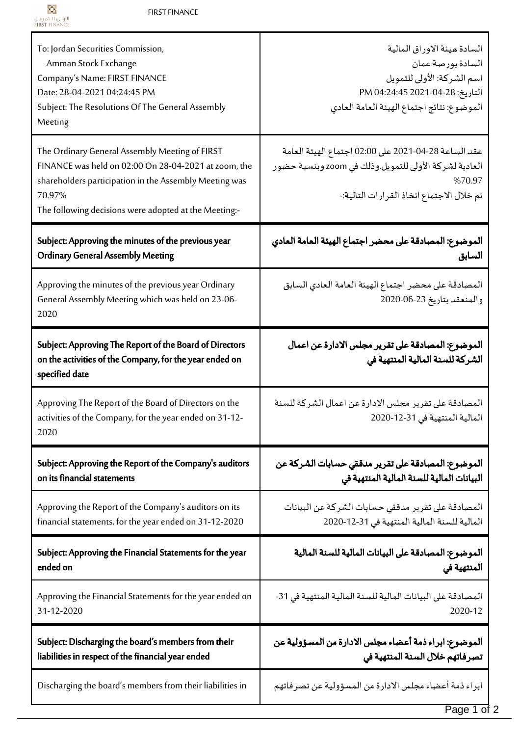Ī

| To: Jordan Securities Commission,<br>Amman Stock Exchange<br>Company's Name: FIRST FINANCE<br>Date: 28-04-2021 04:24:45 PM<br>Subject: The Resolutions Of The General Assembly<br>Meeting                                           | السادة ميئة الاوراق المالية<br>السادة بورصة عمان<br>اسم الشركة: الأولى للتمويل<br>التاريخ: 28-04-2021 04:24:45 PM<br>الموضوع: نتائج اجتماع الهيئة العامة العادي      |
|-------------------------------------------------------------------------------------------------------------------------------------------------------------------------------------------------------------------------------------|----------------------------------------------------------------------------------------------------------------------------------------------------------------------|
| The Ordinary General Assembly Meeting of FIRST<br>FINANCE was held on 02:00 On 28-04-2021 at zoom, the<br>shareholders participation in the Assembly Meeting was<br>70.97%<br>The following decisions were adopted at the Meeting:- | عقد الساعة 28-04-2021 على 02:00 اجتماع الهيئة العامة<br>العادية لشركة الأولى للتمويل.وذلك في zoom وبنسبة حضور<br>%70.97<br>تم خلال الاجتماع اتخاذ القرارات التالية:- |
| Subject: Approving the minutes of the previous year                                                                                                                                                                                 | الموضوع: المصادقة على محضر اجتماع الهيئة العامة العادي                                                                                                               |
| <b>Ordinary General Assembly Meeting</b>                                                                                                                                                                                            | السابق                                                                                                                                                               |
| Approving the minutes of the previous year Ordinary<br>General Assembly Meeting which was held on 23-06-<br>2020                                                                                                                    | المصادقة على محضر اجتماع الهيئة العامة العادي السابق<br>والمنعقد بتاريخ 23-06-2020                                                                                   |
| Subject: Approving The Report of the Board of Directors<br>on the activities of the Company, for the year ended on<br>specified date                                                                                                | الموضوع: المصادقة على تقرير مجلس الادارة عن اعمال<br>الشركة للسنة المالية المنتهية في                                                                                |
| Approving The Report of the Board of Directors on the<br>activities of the Company, for the year ended on 31-12-<br>2020                                                                                                            | المصادقة على تقرير مجلس الادارة عن اعمال الشركة للسنة<br>المالية المنتهية في 31-12-2020                                                                              |
| Subject: Approving the Report of the Company's auditors                                                                                                                                                                             | الموضوع: المصادقة على تقرير مدققي حسابات الشركة عن                                                                                                                   |
| on its financial statements                                                                                                                                                                                                         | البيانات المالية للسنة المالية المنتهية في                                                                                                                           |
| Approving the Report of the Company's auditors on its                                                                                                                                                                               | المصادقة على تقرير مدققي حسابات الشركة عن البيانات                                                                                                                   |
| financial statements, for the year ended on 31-12-2020                                                                                                                                                                              | المالية للسنة المالية المنتهية في 31-12-2020                                                                                                                         |
| Subject: Approving the Financial Statements for the year                                                                                                                                                                            | الموضوع: المصادقة على البيانات المالية للسنة المالية                                                                                                                 |
| ended on                                                                                                                                                                                                                            | المنتهية في                                                                                                                                                          |
| Approving the Financial Statements for the year ended on                                                                                                                                                                            | المصادقة على البيانات المالية للسنة المالية المنتهية في 31-                                                                                                          |
| 31-12-2020                                                                                                                                                                                                                          | 2020-12                                                                                                                                                              |
| Subject: Discharging the board's members from their                                                                                                                                                                                 | الموضوع: ابراء ذمة أعضاء مجلس الادارة من المسؤولية عن                                                                                                                |
| liabilities in respect of the financial year ended                                                                                                                                                                                  | تصرفاتهم خلال السنة المنتهية في                                                                                                                                      |
| Discharging the board's members from their liabilities in                                                                                                                                                                           | ابراء ذمة أعضاء مجلس الادارة من المسؤولية عن تصرفاتهم                                                                                                                |